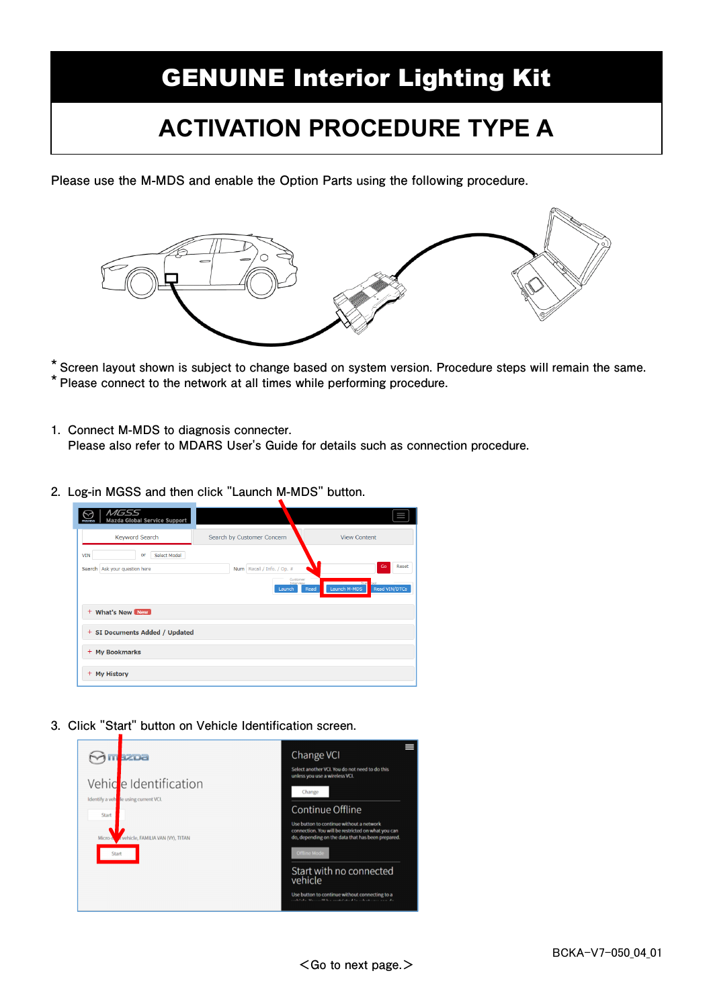## GENUINE Interior Lighting Kit

## **ACTIVATION PROCEDURE TYPE A**

**Please use the M-MDS and enable the Option Parts using the following procedure.** 



**\* Screen layout shown is subject to change based on system version. Procedure steps will remain the same. \* Please connect to the network at all times while performing procedure.**

- **1. Connect M-MDS to diagnosis connecter. Please also refer to MDARS User's Guide for details such as connection procedure.**
- **2. Log-in MGSS and then click "Launch M-MDS" button.**

| $M\rightarrow$<br><b>Mazda Global Service Support</b><br>masma    |                                                               |                                                      |
|-------------------------------------------------------------------|---------------------------------------------------------------|------------------------------------------------------|
| <b>Keyword Search</b>                                             | Search by Customer Concern                                    | <b>View Content</b>                                  |
| Select Model<br><b>VIN</b><br>or<br>Search Ask your question here | Num Recall / Info. / Op. #<br>Customer<br>Interview<br>Launch | Go<br>Reset<br>Launch M-MDS<br>Read VIN/DTCs<br>Read |
| + What's New New<br>+ SI Documents Added / Updated                |                                                               |                                                      |
| + My Bookmarks                                                    |                                                               |                                                      |
| + My History                                                      |                                                               |                                                      |

**3. Click "Start" button on Vehicle Identification screen.** 

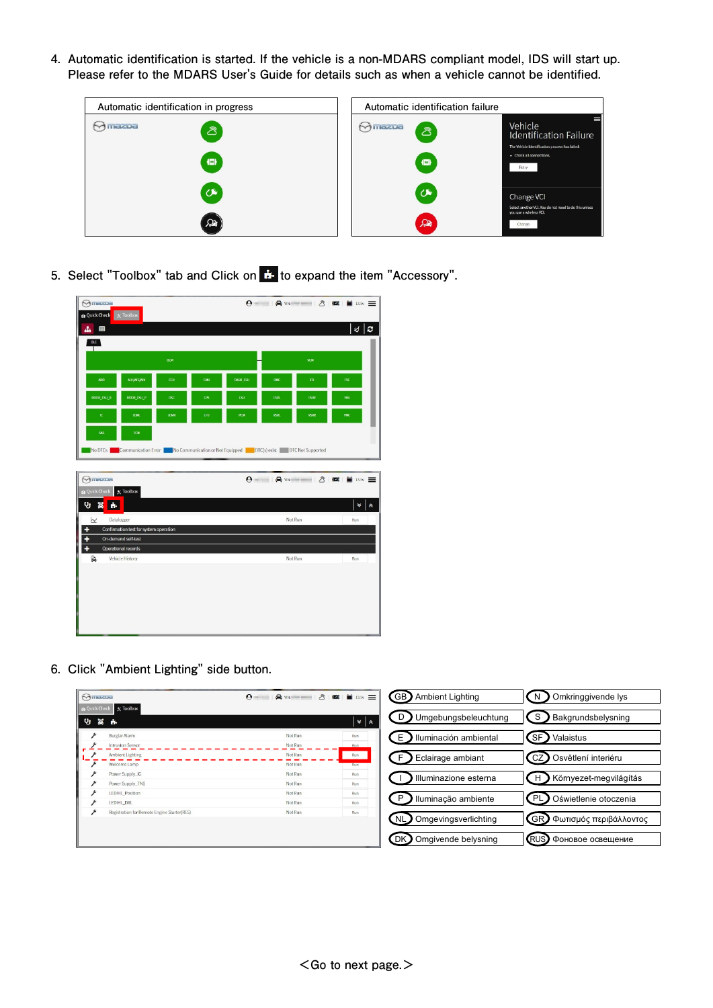**4. Automatic identification is started. If the vehicle is a non-MDARS compliant model, IDS will start up. Please refer to the MDARS User's Guide for details such as when a vehicle cannot be identified.** 



**5.** Select "Toolbox" tab and Click on  $\ddot{\mathbf{r}}$  to expand the item "Accessory".

| Mmazoa<br><b>Quick Check</b> | $\times$ Toolbox                       |            |     |                                                                   |             |             | $\Theta = -1$ $\Theta$ we $= -1$ $\delta$ $\Box$ $\Box$ $\Box$ $\Box$ $\Box$ |
|------------------------------|----------------------------------------|------------|-----|-------------------------------------------------------------------|-------------|-------------|------------------------------------------------------------------------------|
| Ŧ<br>ዹ.                      |                                        |            |     |                                                                   |             |             | €<br>$\ c\ $                                                                 |
| DLC  <br>Т                   |                                        |            |     |                                                                   |             |             |                                                                              |
|                              |                                        | <b>BCM</b> |     |                                                                   |             | <b>VCM</b>  |                                                                              |
| ADO                          | <b>ALH/MES/NLV</b>                     | $\alpha$   | CMU | DASH_ESU                                                          | <b>DMC</b>  | ${\rm FR}$  | <b>FSC</b>                                                                   |
| <b>DOOR ESU D</b>            | DOOR ESU P                             | <b>DSC</b> | EPS | ESU                                                               | FSRL        | <b>FSRR</b> | <b>FWJ</b>                                                                   |
| K.                           | LCML                                   | LCMR       | LFU | PCM                                                               | <b>RSRL</b> | <b>RSRR</b> | <b>VMC</b>                                                                   |
| <b>SV2</b>                   | TCM                                    |            |     |                                                                   |             |             |                                                                              |
| No DTCs                      | Communication Error                    |            |     | No Communication or Not Equipped   DTC(s) exist DTC Not Supported |             |             |                                                                              |
|                              |                                        |            |     |                                                                   |             |             |                                                                              |
|                              |                                        |            |     |                                                                   |             |             |                                                                              |
| Mmazoa<br><b>Quick Check</b> | $\chi$ Toolbox                         |            |     |                                                                   |             |             | $\Theta$ = $\Theta$ we = $\beta$ $\Theta$ $\blacksquare$                     |
| <b>v</b><br>ã<br>ń.          |                                        |            |     |                                                                   |             |             | ¥<br>$\hat{\mathbf{z}}$                                                      |
| W                            | Datalogger                             |            |     |                                                                   | Not Run     |             | Run                                                                          |
| ٠                            | Confirmation test for system operation |            |     |                                                                   |             |             |                                                                              |
| Ŧ                            | On-demand self-test                    |            |     |                                                                   |             |             |                                                                              |
| ÷<br>2                       | Operational records<br>Vehicle History |            |     |                                                                   | Not Run     |             | Run                                                                          |
|                              |                                        |            |     |                                                                   |             |             |                                                                              |
|                              |                                        |            |     |                                                                   |             |             |                                                                              |
|                              |                                        |            |     |                                                                   |             |             |                                                                              |
|                              |                                        |            |     |                                                                   |             |             |                                                                              |
|                              |                                        |            |     |                                                                   |             |             |                                                                              |
|                              |                                        |            |     |                                                                   |             |             |                                                                              |

**6. Click "Ambient Lighting" side button.** 

| $\Theta$ mazpa               |                                             | $\Theta$ = |                             | GB)<br>Ambient Lighting           | Omkringgivende lys<br>N    |
|------------------------------|---------------------------------------------|------------|-----------------------------|-----------------------------------|----------------------------|
| <b>Quick Check</b><br>嵩<br>೪ | $\mathbb{R}$ Toolbox<br><b>The</b>          |            | $\frac{1}{2}$ $\frac{1}{2}$ | Umgebungsbeleuchtung<br>D         | S<br>Bakgrundsbelysning    |
|                              | <b>Burglar Alarm</b>                        | Not Run    | Run                         | Ε                                 | SF.                        |
|                              | <b>Intrusion Sensor</b>                     | Not Run    | Run                         | Iluminación ambiental             | Valaistus                  |
|                              | <b>Ambient Lighting</b>                     | Not Run    | Run                         | F                                 | CZ                         |
|                              | Welcome Lamp                                | Not Run    | Run                         | Eclairage ambiant                 | Osvětlení interiéru        |
| ۶                            | Power Supply_IG                             | Not Run    | Run                         | Illuminazione esterna             | Környezet-megvilágítás     |
| ء                            | Power Supply_TNS                            | Not Run    | Run                         |                                   | H                          |
| ىد                           | LED HL_Position                             | Not Run    | Run                         | Iluminação ambiente               | PL                         |
| ۶                            | LED HL_DRL                                  | Not Run    | Run                         | P                                 | Oświetlenie otoczenia      |
| ىۋ                           | Registration for Remote Engine Starter(RES) | Not Run    | Run                         | <b>NL</b><br>Omgevingsverlichting | GR) Φωτισμός περιβάλλοντος |
|                              |                                             |            |                             | Omgivende belysning<br><b>DK</b>  | (RUS)<br>Фоновое освещение |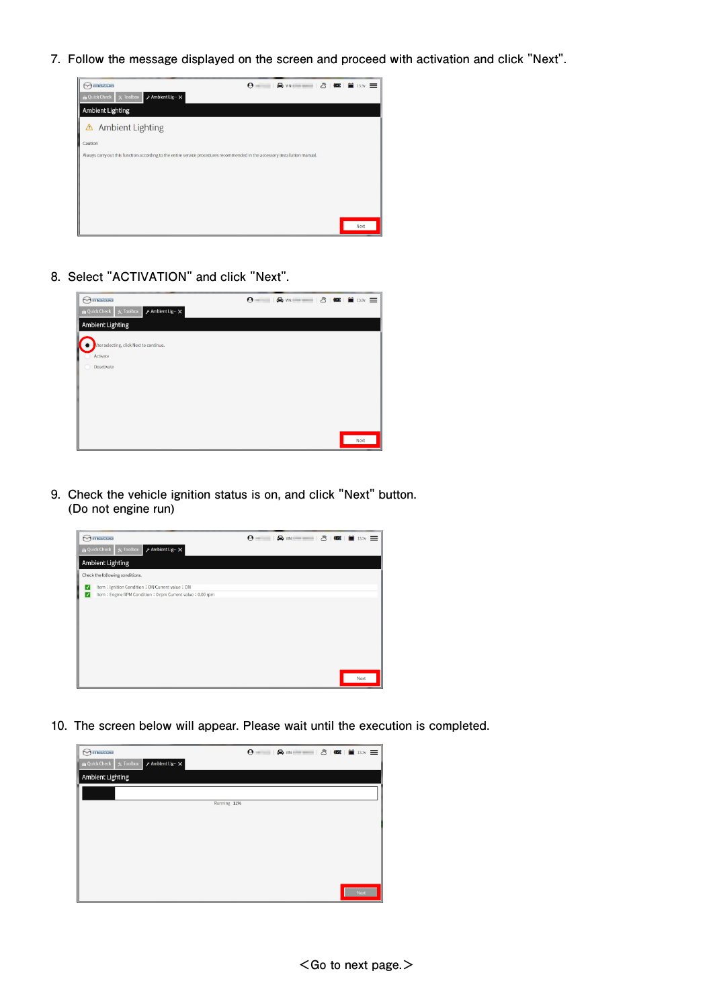**7. Follow the message displayed on the screen and proceed with activation and click "Next".** 



**8. Select "ACTIVATION" and click "Next".** 

| Minazoa                                                                         | $\boldsymbol{\Theta}$ |
|---------------------------------------------------------------------------------|-----------------------|
| <b>Quick Check</b><br>$X$ Toolbox<br>$\n  f$ Ambient Lig- $\cdot$ $\times$<br>ı |                       |
| <b>Ambient Lighting</b>                                                         |                       |
| After selecting, click Next to continue.<br>Activate<br>Deactivate              |                       |
|                                                                                 | Next                  |

**9. Check the vehicle ignition status is on, and click "Next" button. (Do not engine run)** 



**10. The screen below will appear. Please wait until the execution is completed.**